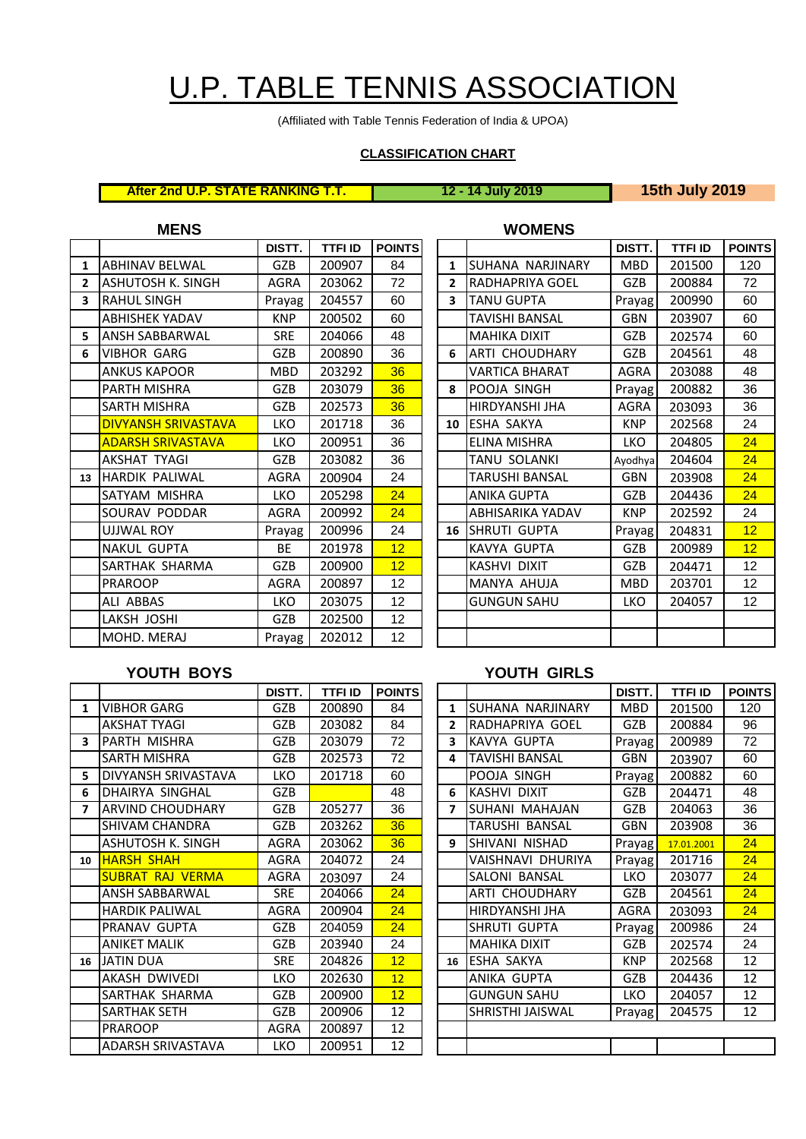# U.P. TABLE TENNIS ASSOCIATION

(Affiliated with Table Tennis Federation of India & UPOA)

## **CLASSIFICATION CHART**

**After 2nd U.P. STATE RANKING T.T. 12 - 14 July 2019 15th July 2019**

|                | <b>MENS</b>                |             |                |                 |                         | <b>WOMENS</b>           |             |                |             |
|----------------|----------------------------|-------------|----------------|-----------------|-------------------------|-------------------------|-------------|----------------|-------------|
|                |                            | DISTT.      | <b>TTFI ID</b> | <b>POINTS</b>   |                         |                         | DISTT.      | <b>TTFI ID</b> | <b>POIN</b> |
| $\mathbf{1}$   | <b>ABHINAV BELWAL</b>      | <b>GZB</b>  | 200907         | 84              | $\mathbf{1}$            | <b>SUHANA NARJINARY</b> | <b>MBD</b>  | 201500         | 120         |
| $\overline{2}$ | <b>ASHUTOSH K. SINGH</b>   | <b>AGRA</b> | 203062         | 72              | $\overline{2}$          | <b>RADHAPRIYA GOEL</b>  | GZB         | 200884         | 72          |
| 3              | <b>RAHUL SINGH</b>         | Prayag      | 204557         | 60              | $\overline{\mathbf{3}}$ | <b>TANU GUPTA</b>       | Prayag      | 200990         | 60          |
|                | <b>ABHISHEK YADAV</b>      | <b>KNP</b>  | 200502         | 60              |                         | TAVISHI BANSAL          | <b>GBN</b>  | 203907         | 60          |
| 5              | <b>ANSH SABBARWAL</b>      | <b>SRE</b>  | 204066         | 48              |                         | <b>MAHIKA DIXIT</b>     | <b>GZB</b>  | 202574         | 60          |
| 6              | <b>VIBHOR GARG</b>         | <b>GZB</b>  | 200890         | 36              | 6                       | <b>JARTI CHOUDHARY</b>  | <b>GZB</b>  | 204561         | 48          |
|                | <b>ANKUS KAPOOR</b>        | <b>MBD</b>  | 203292         | 36              |                         | <b>VARTICA BHARAT</b>   | <b>AGRA</b> | 203088         | 48          |
|                | PARTH MISHRA               | GZB         | 203079         | 36              | 8                       | POOJA SINGH             | Prayag      | 200882         | 36          |
|                | <b>SARTH MISHRA</b>        | GZB         | 202573         | 36              |                         | HIRDYANSHI JHA          | <b>AGRA</b> | 203093         | 36          |
|                | <b>DIVYANSH SRIVASTAVA</b> | <b>LKO</b>  | 201718         | 36              | 10                      | <b>LESHA SAKYA</b>      | <b>KNP</b>  | 202568         | 24          |
|                | <b>ADARSH SRIVASTAVA</b>   | <b>LKO</b>  | 200951         | 36              |                         | ELINA MISHRA            | <b>LKO</b>  | 204805         | 24          |
|                | <b>AKSHAT TYAGI</b>        | <b>GZB</b>  | 203082         | 36              |                         | TANU SOLANKI            | Ayodhya     | 204604         | 24          |
| 13             | <b>HARDIK PALIWAL</b>      | <b>AGRA</b> | 200904         | 24              |                         | TARUSHI BANSAL          | <b>GBN</b>  | 203908         | 24          |
|                | SATYAM MISHRA              | <b>LKO</b>  | 205298         | 24              |                         | <b>ANIKA GUPTA</b>      | <b>GZB</b>  | 204436         | 24          |
|                | SOURAV PODDAR              | <b>AGRA</b> | 200992         | 24              |                         | <b>ABHISARIKA YADAV</b> | <b>KNP</b>  | 202592         | 24          |
|                | <b>UJJWAL ROY</b>          | Prayag      | 200996         | 24              | 16                      | <b>SHRUTI GUPTA</b>     | Prayag      | 204831         | 12          |
|                | <b>NAKUL GUPTA</b>         | <b>BE</b>   | 201978         | 12              |                         | <b>KAVYA GUPTA</b>      | <b>GZB</b>  | 200989         | 12          |
|                | SARTHAK SHARMA             | <b>GZB</b>  | 200900         | 12 <sub>2</sub> |                         | KASHVI DIXIT            | <b>GZB</b>  | 204471         | 12          |
|                | <b>PRAROOP</b>             | <b>AGRA</b> | 200897         | 12              |                         | MANYA AHUJA             | <b>MBD</b>  | 203701         | 12          |
|                | ALI ABBAS                  | <b>LKO</b>  | 203075         | 12              |                         | <b>GUNGUN SAHU</b>      | <b>LKO</b>  | 204057         | 12          |
|                | LAKSH JOSHI                | GZB         | 202500         | 12              |                         |                         |             |                |             |
|                | MOHD. MERAJ                | Prayag      | 202012         | 12              |                         |                         |             |                |             |

|                |                       | DISTT.     | <b>TTFI ID</b> | <b>POINTS</b> |
|----------------|-----------------------|------------|----------------|---------------|
| $\mathbf{1}$   | SUHANA NARJINARY      | <b>MBD</b> | 201500         | 120           |
| $\overline{2}$ | RADHAPRIYA GOEL       | <b>GZB</b> | 200884         | 72            |
| 3              | <b>TANU GUPTA</b>     | Prayag     | 200990         | 60            |
|                | TAVISHI BANSAL        | GBN        | 203907         | 60            |
|                | <b>MAHIKA DIXIT</b>   | <b>GZB</b> | 202574         | 60            |
| 6              | <b>ARTI CHOUDHARY</b> | <b>GZB</b> | 204561         | 48            |
|                | <b>VARTICA BHARAT</b> | AGRA       | 203088         | 48            |
| 8              | POOJA SINGH           | Prayag     | 200882         | 36            |
|                | HIRDYANSHI JHA        | AGRA       | 203093         | 36            |
| 10             | ESHA SAKYA            | <b>KNP</b> | 202568         | 24            |
|                | ELINA MISHRA          | LKO        | 204805         | 24            |
|                | TANU SOLANKI          | Ayodhya    | 204604         | 24            |
|                | <b>TARUSHI BANSAL</b> | <b>GBN</b> | 203908         | 24            |
|                | <b>ANIKA GUPTA</b>    | <b>GZB</b> | 204436         | 24            |
|                | ABHISARIKA YADAV      | <b>KNP</b> | 202592         | 24            |
| 16             | SHRUTI GUPTA          | Prayag     | 204831         | 12            |
|                | KAVYA GUPTA           | <b>GZB</b> | 200989         | 12            |
|                | KASHVI DIXIT          | GZB        | 204471         | 12            |
|                | MANYA AHUJA           | <b>MBD</b> | 203701         | 12            |
|                | <b>GUNGUN SAHU</b>    | LKO        | 204057         | 12            |
|                |                       |            |                |               |
|                |                       |            |                |               |

### **YOUTH BOYS YOUTH GIRLS**

|              |                          | DISTT.      | <b>TTFIID</b> | <b>POINTS</b>   |                |                     | DISTT.     | <b>TTFI ID</b> | <b>POIN</b>     |
|--------------|--------------------------|-------------|---------------|-----------------|----------------|---------------------|------------|----------------|-----------------|
| $\mathbf{1}$ | <b>VIBHOR GARG</b>       | <b>GZB</b>  | 200890        | 84              | 1              | SUHANA NARJINARY    | <b>MBD</b> | 201500         | 120             |
|              | <b>AKSHAT TYAGI</b>      | <b>GZB</b>  | 203082        | 84              | $\overline{2}$ | RADHAPRIYA GOEL     | <b>GZB</b> | 200884         | 96              |
| 3            | <b>IPARTH MISHRA</b>     | <b>GZB</b>  | 203079        | 72              | 3              | KAVYA GUPTA         | Prayag     | 200989         | 72              |
|              | SARTH MISHRA             | <b>GZB</b>  | 202573        | 72              | 4              | TAVISHI BANSAL      | <b>GBN</b> | 203907         | 60              |
| 5.           | DIVYANSH SRIVASTAVA      | LKO         | 201718        | 60              |                | POOJA SINGH         | Prayag     | 200882         | 60              |
| 6            | <b>DHAIRYA SINGHAL</b>   | <b>GZB</b>  |               | 48              | 6              | <b>KASHVI DIXIT</b> | <b>GZB</b> | 204471         | $\overline{48}$ |
| 7            | <b>JARVIND CHOUDHARY</b> | <b>GZB</b>  | 205277        | 36              | 7              | ISUHANI MAHAJAN     | <b>GZB</b> | 204063         | 36              |
|              | <b>SHIVAM CHANDRA</b>    | <b>GZB</b>  | 203262        | 36              |                | TARUSHI BANSAL      | <b>GBN</b> | 203908         | 36              |
|              | ASHUTOSH K. SINGH        | AGRA        | 203062        | 36              | 9              | ISHIVANI NISHAD     | Prayag     | 17.01.2001     | $\overline{24}$ |
|              | 10 HARSH SHAH            | AGRA        | 204072        | 24              |                | VAISHNAVI DHURIYA   | Prayag     | 201716         | 24              |
|              | <b>SUBRAT RAJ VERMA</b>  | AGRA        | 203097        | 24              |                | SALONI BANSAL       | <b>LKO</b> | 203077         | 24              |
|              | ANSH SABBARWAL           | <b>SRE</b>  | 204066        | 24              |                | ARTI CHOUDHARY      | <b>GZB</b> | 204561         | 24              |
|              | <b>HARDIK PALIWAL</b>    | AGRA        | 200904        | 24              |                | HIRDYANSHI JHA      | AGRA       | 203093         | $\overline{24}$ |
|              | PRANAV GUPTA             | <b>GZB</b>  | 204059        | 24              |                | SHRUTI GUPTA        | Prayag     | 200986         | 24              |
|              | <b>ANIKET MALIK</b>      | <b>GZB</b>  | 203940        | 24              |                | <b>MAHIKA DIXIT</b> | <b>GZB</b> | 202574         | 24              |
| 16           | <b>JATIN DUA</b>         | <b>SRE</b>  | 204826        | 12 <sub>2</sub> |                | 16 ESHA SAKYA       | KNP        | 202568         | $\overline{12}$ |
|              | AKASH DWIVEDI            | <b>LKO</b>  | 202630        | 12 <sup>7</sup> |                | ANIKA GUPTA         | <b>GZB</b> | 204436         | 12              |
|              | SARTHAK SHARMA           | <b>GZB</b>  | 200900        | 12              |                | <b>GUNGUN SAHU</b>  | <b>LKO</b> | 204057         | 12              |
|              | SARTHAK SETH             | GZB         | 200906        | 12              |                | SHRISTHI JAISWAL    | Prayag     | 204575         | 12              |
|              | <b>PRAROOP</b>           | <b>AGRA</b> | 200897        | 12              |                |                     |            |                |                 |
|              | ADARSH SRIVASTAVA        | LKO.        | 200951        | 12              |                |                     |            |                |                 |

| DISTT.     | <b>TTFI ID</b> | <b>POINTS</b> |                |                     | DISTT.     | <b>TTFI ID</b> | <b>POINTS</b> |
|------------|----------------|---------------|----------------|---------------------|------------|----------------|---------------|
| GZB        | 200890         | 84            | 1              | SUHANA NARJINARY    | <b>MBD</b> | 201500         | 120           |
| GZB        | 203082         | 84            | $\overline{2}$ | RADHAPRIYA GOEL     | <b>GZB</b> | 200884         | 96            |
| GZB        | 203079         | 72            | 3              | KAVYA GUPTA         | Prayag     | 200989         | 72            |
| GZB        | 202573         | 72            | 4              | TAVISHI BANSAL      | <b>GBN</b> | 203907         | 60            |
| <b>LKO</b> | 201718         | 60            |                | POOJA SINGH         | Prayag     | 200882         | 60            |
| GZB        |                | 48            | 6              | <b>KASHVI DIXIT</b> | GZB        | 204471         | 48            |
| GZB        | 205277         | 36            | 7              | SUHANI MAHAJAN      | GZB        | 204063         | 36            |
| GZB        | 203262         | 36            |                | TARUSHI BANSAL      | <b>GBN</b> | 203908         | 36            |
| AGRA       | 203062         | 36            | 9              | SHIVANI NISHAD      | Prayag     | 17.01.2001     | 24            |
| AGRA       | 204072         | 24            |                | VAISHNAVI DHURIYA   | Prayag     | 201716         | 24            |
| AGRA       | 203097         | 24            |                | SALONI BANSAL       | LKO        | 203077         | 24            |
| <b>SRE</b> | 204066         | 24            |                | ARTI CHOUDHARY      | <b>GZB</b> | 204561         | 24            |
| AGRA       | 200904         | 24            |                | HIRDYANSHI JHA      | AGRA       | 203093         | 24            |
| GZB        | 204059         | 24            |                | SHRUTI GUPTA        | Prayag     | 200986         | 24            |
| GZB        | 203940         | 24            |                | <b>MAHIKA DIXIT</b> | GZB        | 202574         | 24            |
| <b>SRE</b> | 204826         | 12            | 16             | ESHA SAKYA          | <b>KNP</b> | 202568         | 12            |
| <b>LKO</b> | 202630         | 12            |                | ANIKA GUPTA         | <b>GZB</b> | 204436         | 12            |
| GZB        | 200900         | 12            |                | <b>GUNGUN SAHU</b>  | <b>LKO</b> | 204057         | 12            |
| GZB        | 200906         | 12            |                | SHRISTHI JAISWAL    | Prayag     | 204575         | 12            |
| AGRA       | 200897         | 12            |                |                     |            |                |               |
| <b>LKO</b> | 200951         | 12            |                |                     |            |                |               |